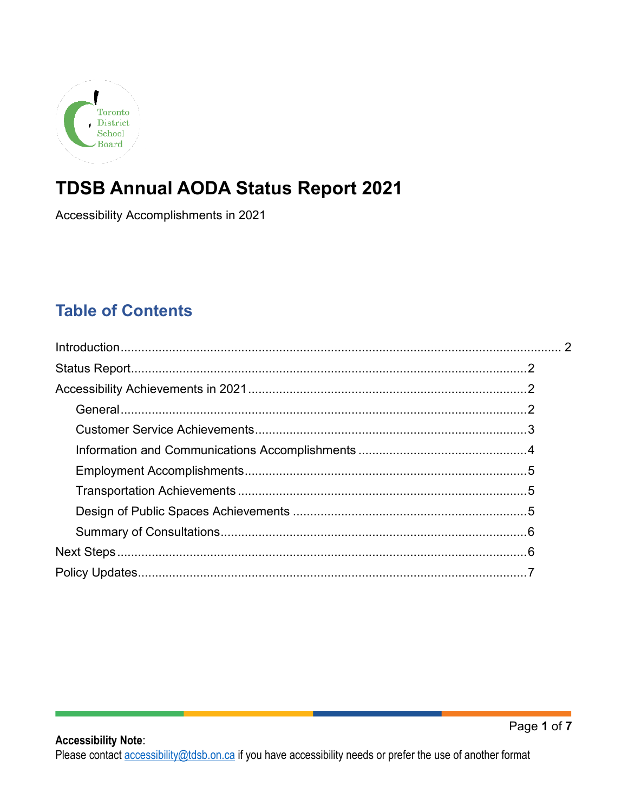

# **TDSB Annual AODA Status Report 2021**

Accessibility Accomplishments in 2021

### **Table of Contents**

<span id="page-0-0"></span>**Accessibility Note:**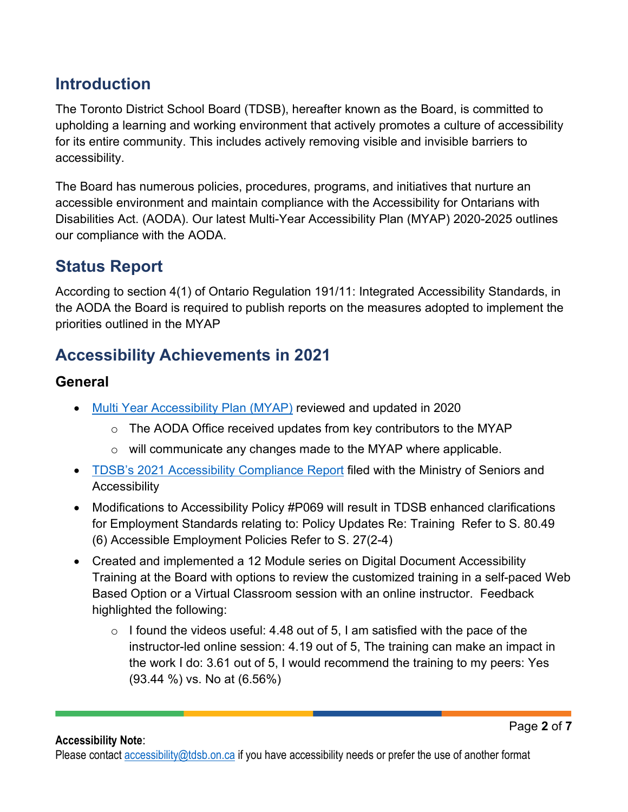### **Introduction**

The Toronto District School Board (TDSB), hereafter known as the Board, is committed to upholding a learning and working environment that actively promotes a culture of accessibility for its entire community. This includes actively removing visible and invisible barriers to accessibility.

The Board has numerous policies, procedures, programs, and initiatives that nurture an accessible environment and maintain compliance with the Accessibility for Ontarians with Disabilities Act. (AODA). Our latest Multi-Year Accessibility Plan (MYAP) 2020-2025 outlines our compliance with the AODA.

# <span id="page-1-0"></span>**Status Report**

According to section 4(1) of Ontario Regulation 191/11: Integrated Accessibility Standards, in the AODA the Board is required to publish reports on the measures adopted to implement the priorities outlined in the MYAP

# <span id="page-1-1"></span>**Accessibility Achievements in 2021**

#### <span id="page-1-2"></span>**General**

- [Multi Year Accessibility Plan \(MYAP\)](https://www.tdsb.on.ca/Portals/0/aboutus/Accessibility/docs/Multi-Year%20Accessibility%20Plan%20(MYAP)%202020-2025.pdf) reviewed and updated in 2020
	- $\circ$  The AODA Office received updates from key contributors to the MYAP
	- $\circ$  will communicate any changes made to the MYAP where applicable.
- [TDSB's 2021 Accessibility Compliance Report](https://www.tdsb.on.ca/Portals/0/AboutUs/docs/2021AccessibilityCompliantReportMinistryforSeniorsAndAccessibility.pdf) filed with the Ministry of Seniors and **Accessibility**
- Modifications to Accessibility Policy #P069 will result in TDSB enhanced clarifications for Employment Standards relating to: Policy Updates Re: Training Refer to S. 80.49 (6) Accessible Employment Policies Refer to S. 27(2-4)
- Created and implemented a 12 Module series on Digital Document Accessibility Training at the Board with options to review the customized training in a self-paced Web Based Option or a Virtual Classroom session with an online instructor. Feedback highlighted the following:
	- $\circ$  I found the videos useful: 4.48 out of 5, I am satisfied with the pace of the instructor-led online session: 4.19 out of 5, The training can make an impact in the work I do: 3.61 out of 5, I would recommend the training to my peers: Yes (93.44 %) vs. No at (6.56%)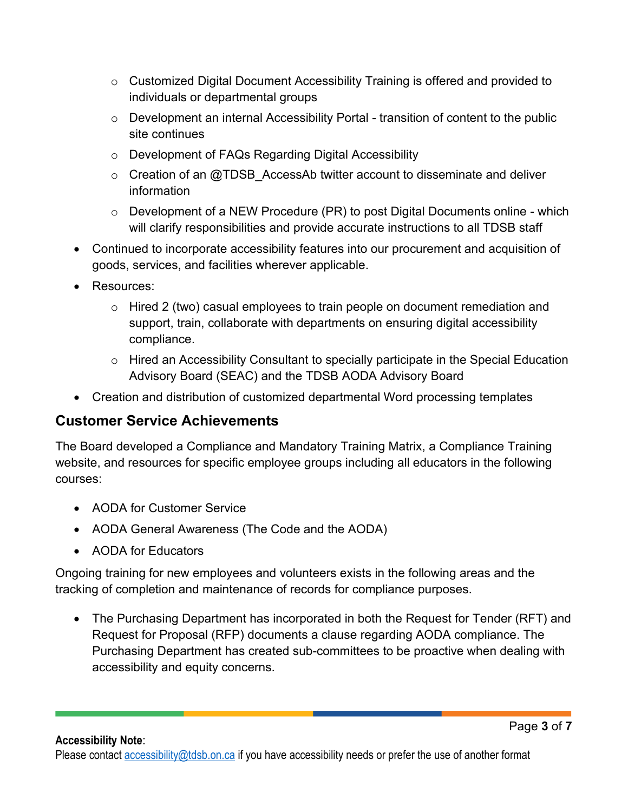- o Customized Digital Document Accessibility Training is offered and provided to individuals or departmental groups
- o Development an internal Accessibility Portal transition of content to the public site continues
- o Development of FAQs Regarding Digital Accessibility
- $\circ$  Creation of an @TDSB AccessAb twitter account to disseminate and deliver information
- $\circ$  Development of a NEW Procedure (PR) to post Digital Documents online which will clarify responsibilities and provide accurate instructions to all TDSB staff
- Continued to incorporate accessibility features into our procurement and acquisition of goods, services, and facilities wherever applicable.
- Resources:
	- $\circ$  Hired 2 (two) casual employees to train people on document remediation and support, train, collaborate with departments on ensuring digital accessibility compliance.
	- o Hired an Accessibility Consultant to specially participate in the Special Education Advisory Board (SEAC) and the TDSB AODA Advisory Board
- Creation and distribution of customized departmental Word processing templates

#### <span id="page-2-0"></span>**Customer Service Achievements**

The Board developed a Compliance and Mandatory Training Matrix, a Compliance Training website, and resources for specific employee groups including all educators in the following courses:

- AODA for Customer Service
- AODA General Awareness (The Code and the AODA)
- AODA for Educators

Ongoing training for new employees and volunteers exists in the following areas and the tracking of completion and maintenance of records for compliance purposes.

• The Purchasing Department has incorporated in both the Request for Tender (RFT) and Request for Proposal (RFP) documents a clause regarding AODA compliance. The Purchasing Department has created sub-committees to be proactive when dealing with accessibility and equity concerns.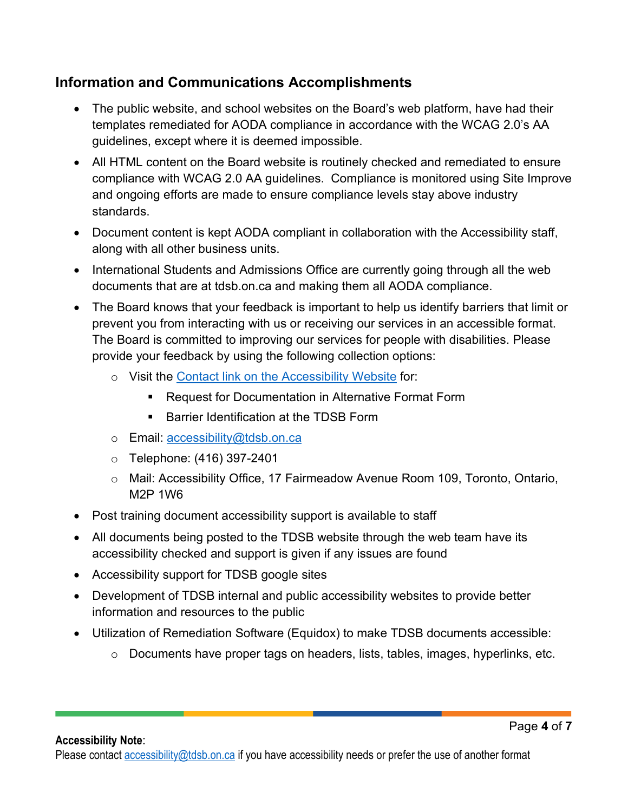#### <span id="page-3-0"></span>**Information and Communications Accomplishments**

- The public website, and school websites on the Board's web platform, have had their templates remediated for AODA compliance in accordance with the WCAG 2.0's AA guidelines, except where it is deemed impossible.
- All HTML content on the Board website is routinely checked and remediated to ensure compliance with WCAG 2.0 AA guidelines. Compliance is monitored using Site Improve and ongoing efforts are made to ensure compliance levels stay above industry standards.
- Document content is kept AODA compliant in collaboration with the Accessibility staff, along with all other business units.
- International Students and Admissions Office are currently going through all the web documents that are at tdsb.on.ca and making them all AODA compliance.
- The Board knows that your feedback is important to help us identify barriers that limit or prevent you from interacting with us or receiving our services in an accessible format. The Board is committed to improving our services for people with disabilities. Please provide your feedback by using the following collection options:
	- o Visit the [Contact link on the Accessibility Website](https://www.tdsb.on.ca/About-Us/Accessibility/Contact) for:
		- Request for Documentation in Alternative Format Form
		- Barrier Identification at the TDSB Form
	- o Email: [accessibility@tdsb.on.ca](mailto:accessibility@tdsb.on.ca)
	- o Telephone: (416) 397-2401
	- o Mail: Accessibility Office, 17 Fairmeadow Avenue Room 109, Toronto, Ontario, M2P 1W6
- Post training document accessibility support is available to staff
- All documents being posted to the TDSB website through the web team have its accessibility checked and support is given if any issues are found
- Accessibility support for TDSB google sites
- Development of TDSB internal and public accessibility websites to provide better information and resources to the public
- Utilization of Remediation Software (Equidox) to make TDSB documents accessible:
	- o Documents have proper tags on headers, lists, tables, images, hyperlinks, etc.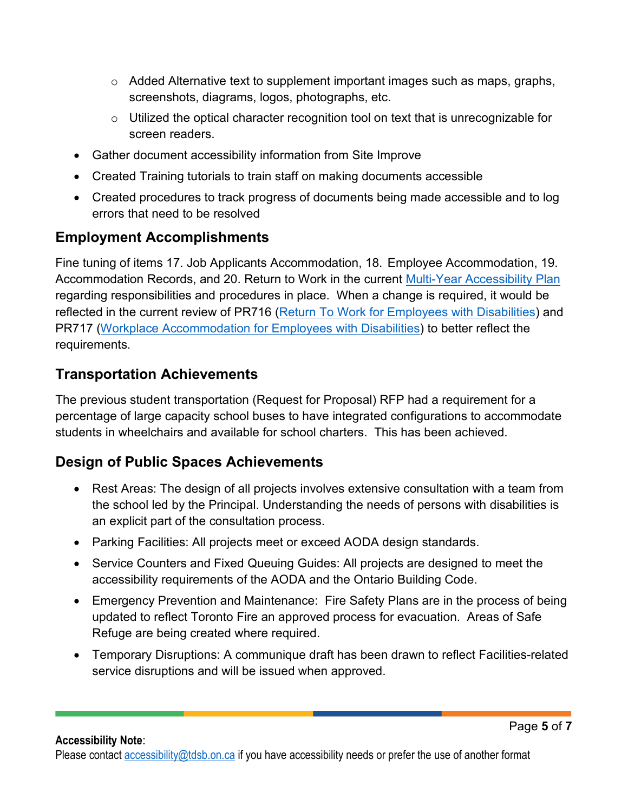- $\circ$  Added Alternative text to supplement important images such as maps, graphs, screenshots, diagrams, logos, photographs, etc.
- o Utilized the optical character recognition tool on text that is unrecognizable for screen readers.
- Gather document accessibility information from Site Improve
- Created Training tutorials to train staff on making documents accessible
- Created procedures to track progress of documents being made accessible and to log errors that need to be resolved

### <span id="page-4-0"></span>**Employment Accomplishments**

Fine tuning of items 17. Job Applicants Accommodation, 18. Employee Accommodation, 19. Accommodation Records, and 20. Return to Work in the current [Multi-Year Accessibility Plan](https://www.tdsb.on.ca/Portals/0/aboutus/Accessibility/docs/Multi-Year%20Accessibility%20Plan%20(MYAP)%202020-2025.pdf) regarding responsibilities and procedures in place. When a change is required, it would be reflected in the current review of PR716 [\(Return To Work for Employees with Disabilities\)](https://ppf.tdsb.on.ca/uploads/files/live/95/1996.pdf) and PR717 [\(Workplace Accommodation for Employees with Disabilities\)](https://ppf.tdsb.on.ca/uploads/files/live/95/1997.pdf) to better reflect the requirements.

### <span id="page-4-1"></span>**Transportation Achievements**

The previous student transportation (Request for Proposal) RFP had a requirement for a percentage of large capacity school buses to have integrated configurations to accommodate students in wheelchairs and available for school charters. This has been achieved.

### <span id="page-4-2"></span>**Design of Public Spaces Achievements**

- Rest Areas: The design of all projects involves extensive consultation with a team from the school led by the Principal. Understanding the needs of persons with disabilities is an explicit part of the consultation process.
- Parking Facilities: All projects meet or exceed AODA design standards.
- Service Counters and Fixed Queuing Guides: All projects are designed to meet the accessibility requirements of the AODA and the Ontario Building Code.
- Emergency Prevention and Maintenance: Fire Safety Plans are in the process of being updated to reflect Toronto Fire an approved process for evacuation. Areas of Safe Refuge are being created where required.
- Temporary Disruptions: A communique draft has been drawn to reflect Facilities-related service disruptions and will be issued when approved.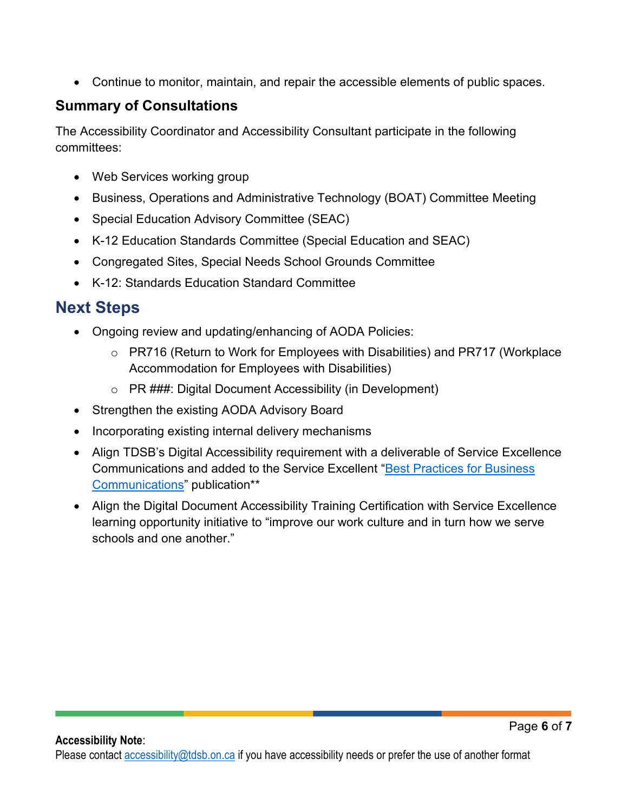• Continue to monitor, maintain, and repair the accessible elements of public spaces.

### <span id="page-5-0"></span>**Summary of Consultations**

The Accessibility Coordinator and Accessibility Consultant participate in the following committees:

- Web Services working group
- Business, Operations and Administrative Technology (BOAT) Committee Meeting
- Special Education Advisory Committee (SEAC)
- K-12 Education Standards Committee (Special Education and SEAC)
- Congregated Sites, Special Needs School Grounds Committee
- K-12: Standards Education Standard Committee

# <span id="page-5-1"></span>**Next Steps**

- Ongoing review and updating/enhancing of AODA Policies:
	- o PR716 (Return to Work for Employees with Disabilities) and PR717 (Workplace Accommodation for Employees with Disabilities)
	- o PR ###: Digital Document Accessibility (in Development)
- Strengthen the existing AODA Advisory Board
- Incorporating existing internal delivery mechanisms
- Align TDSB's Digital Accessibility requirement with a deliverable of Service Excellence Communications and added to the Service Excellent ["Best Practices for Business](http://tdsbweb.tdsb.on.ca/serviceexcellence/Best-Practices-for-Business-Communications)  [Communications"](http://tdsbweb.tdsb.on.ca/serviceexcellence/Best-Practices-for-Business-Communications) publication\*\*
- Align the Digital Document Accessibility Training Certification with Service Excellence learning opportunity initiative to "improve our work culture and in turn how we serve schools and one another."